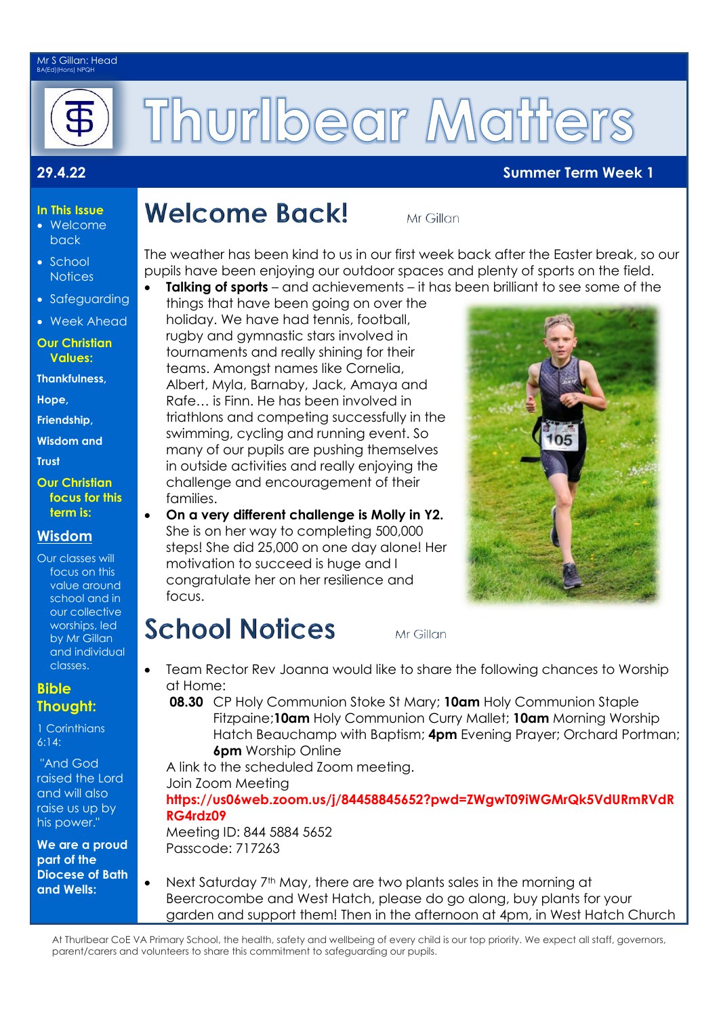#### Mr S Gillan: Head BA(Ed)(Hons) NPQH



# Thurlbear Matters

#### **29.4.22 Summer Term Week 1**

#### **In This Issue** Welcome

- back
- School **Notices**
- Safeguarding
- Week Ahead
- **Our Christian Values:**
- **Thankfulness,**
- **Hope,**
- **Friendship,**
- **Wisdom and**

**Trust** 

**Our Christian focus for this term is:**

### **Wisdom**

Our classes will focus on this value around school and in our collective worships, led by Mr Gillan and individual classes.

#### **Bible Thought:**

1 Corinthians 6:14:

"And God raised the Lord and will also raise us up by his power."

**We are a proud part of the Diocese of Bath and Wells:** 

## **Welcome Back!**

Mr Gillan

The weather has been kind to us in our first week back after the Easter break, so our pupils have been enjoying our outdoor spaces and plenty of sports on the field.

**Talking of sports** – and achievements – it has been brilliant to see some of the things that have been going on over the holiday. We have had tennis, football, rugby and gymnastic stars involved in tournaments and really shining for their teams. Amongst names like Cornelia, Albert, Myla, Barnaby, Jack, Amaya and Rafe… is Finn. He has been involved in triathlons and competing successfully in the swimming, cycling and running event. So many of our pupils are pushing themselves in outside activities and really enjoying the challenge and encouragement of their families.

 **On a very different challenge is Molly in Y2.**  She is on her way to completing 500,000 steps! She did 25,000 on one day alone! Her motivation to succeed is huge and I congratulate her on her resilience and focus.

Mr Gillan

- Team Rector Rev Joanna would like to share the following chances to Worship at Home:
	- **08.30** CP Holy Communion Stoke St Mary; **10am** Holy Communion Staple Fitzpaine;**10am** Holy Communion Curry Mallet; **10am** Morning Worship Hatch Beauchamp with Baptism; **4pm** Evening Prayer; Orchard Portman; **6pm** Worship Online

A link to the scheduled Zoom meeting. Join Zoom Meeting

**[https://us06web.zoom.us/j/84458845652?pwd=ZWgwT09iWGMrQk5VdURmRVdR](https://us06web.zoom.us/j/84458845652?pwd=ZWgwT09iWGMrQk5VdURmRVdRRG4rdz09) [RG4rdz09](https://us06web.zoom.us/j/84458845652?pwd=ZWgwT09iWGMrQk5VdURmRVdRRG4rdz09)**

Meeting ID: 844 5884 5652 Passcode: 717263

**School Notices** 

Next Saturday 7<sup>th</sup> May, there are two plants sales in the morning at Beercrocombe and West Hatch, please do go along, buy plants for your garden and support them! Then in the afternoon at 4pm, in West Hatch Church

At Thurlbear CoE VA Primary School, the health, safety and wellbeing of every child is our top priority. We expect all staff, governors, parent/carers and volunteers to share this commitment to safeguarding our pupils.